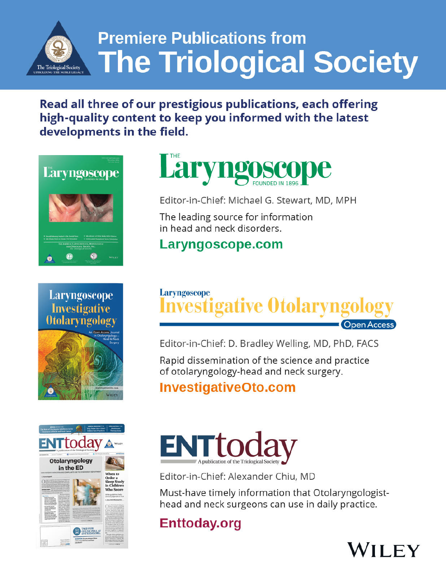

# **Premiere Publications from The Triological Society**

# Read all three of our prestigious publications, each offering high-quality content to keep you informed with the latest developments in the field.









Editor-in-Chief: Michael G. Stewart, MD, MPH

The leading source for information in head and neck disorders.

# Laryngoscope.com



Editor-in-Chief: D. Bradley Welling, MD, PhD, FACS

Rapid dissemination of the science and practice of otolaryngology-head and neck surgery.

# **InvestigativeOto.com**



Editor-in-Chief: Alexander Chiu, MD

Must-have timely information that Otolaryngologisthead and neck surgeons can use in daily practice.

# **Enttoday.org**

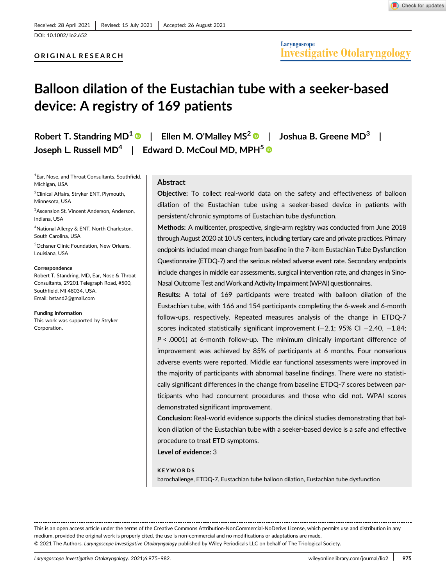### ORIGINAL RESEARCH

# Balloon dilation of the Eustachian tube with a seeker-based device: A registry of 169 patients

Robert T. Standring MD<sup>1</sup>  $\bullet$  | Ellen M. O'Malley MS<sup>2</sup>  $\bullet$  | Joshua B. Greene MD<sup>3</sup> | Joseph L. Russell MD<sup>4</sup> | Edward D. McCoul MD, MPH<sup>5</sup>

1 Ear, Nose, and Throat Consultants, Southfield, Michigan, USA

2 Clinical Affairs, Stryker ENT, Plymouth, Minnesota, USA

3 Ascension St. Vincent Anderson, Anderson, Indiana, USA

4 National Allergy & ENT, North Charleston, South Carolina, USA

5 Ochsner Clinic Foundation, New Orleans, Louisiana, USA

#### **Correspondence**

Robert T. Standring, MD, Ear, Nose & Throat Consultants, 29201 Telegraph Road, #500, Southfield, MI 48034, USA. Email: [bstand2@gmail.com](mailto:bstand2@gmail.com)

Funding information This work was supported by Stryker Corporation.

#### **Abstract**

Objective: To collect real-world data on the safety and effectiveness of balloon dilation of the Eustachian tube using a seeker-based device in patients with persistent/chronic symptoms of Eustachian tube dysfunction.

Methods: A multicenter, prospective, single-arm registry was conducted from June 2018 through August 2020 at 10 US centers, including tertiary care and private practices. Primary endpoints included mean change from baseline in the 7-item Eustachian Tube Dysfunction Questionnaire (ETDQ-7) and the serious related adverse event rate. Secondary endpoints include changes in middle ear assessments, surgical intervention rate, and changes in Sino-Nasal Outcome Test and Work and Activity Impairment (WPAI) questionnaires.

Results: A total of 169 participants were treated with balloon dilation of the Eustachian tube, with 166 and 154 participants completing the 6-week and 6-month follow-ups, respectively. Repeated measures analysis of the change in ETDQ-7 scores indicated statistically significant improvement  $(-2.1; 95\% \text{ Cl} - 2.40, -1.84;$ P < .0001) at 6-month follow-up. The minimum clinically important difference of improvement was achieved by 85% of participants at 6 months. Four nonserious adverse events were reported. Middle ear functional assessments were improved in the majority of participants with abnormal baseline findings. There were no statistically significant differences in the change from baseline ETDQ-7 scores between participants who had concurrent procedures and those who did not. WPAI scores demonstrated significant improvement.

Conclusion: Real-world evidence supports the clinical studies demonstrating that balloon dilation of the Eustachian tube with a seeker-based device is a safe and effective procedure to treat ETD symptoms.

Level of evidence: 3

#### KEYWORDS

barochallenge, ETDQ-7, Eustachian tube balloon dilation, Eustachian tube dysfunction

This is an open access article under the terms of the [Creative Commons Attribution-NonCommercial-NoDerivs](http://creativecommons.org/licenses/by-nc-nd/4.0/) License, which permits use and distribution in any medium, provided the original work is properly cited, the use is non-commercial and no modifications or adaptations are made. © 2021 The Authors. Laryngoscope Investigative Otolaryngology published by Wiley Periodicals LLC on behalf of The Triological Society.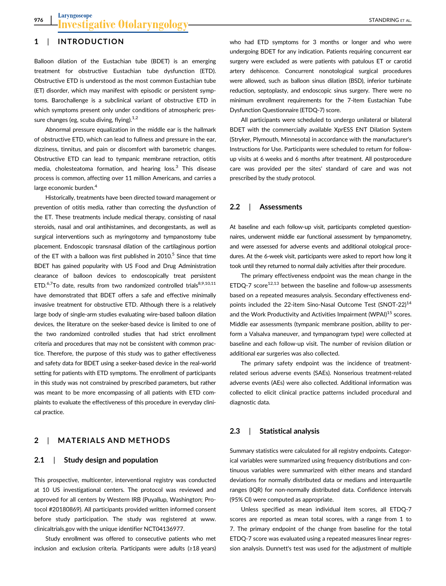# 1 | INTRODUCTION

Balloon dilation of the Eustachian tube (BDET) is an emerging treatment for obstructive Eustachian tube dysfunction (ETD). Obstructive ETD is understood as the most common Eustachian tube (ET) disorder, which may manifest with episodic or persistent symptoms. Barochallenge is a subclinical variant of obstructive ETD in which symptoms present only under conditions of atmospheric pressure changes (eg, scuba diving, flying).<sup>1,2</sup>

Abnormal pressure equalization in the middle ear is the hallmark of obstructive ETD, which can lead to fullness and pressure in the ear, dizziness, tinnitus, and pain or discomfort with barometric changes. Obstructive ETD can lead to tympanic membrane retraction, otitis media, cholesteatoma formation, and hearing loss. $3$  This disease process is common, affecting over 11 million Americans, and carries a large economic burden.<sup>4</sup>

Historically, treatments have been directed toward management or prevention of otitis media, rather than correcting the dysfunction of the ET. These treatments include medical therapy, consisting of nasal steroids, nasal and oral antihistamines, and decongestants, as well as surgical interventions such as myringotomy and tympanostomy tube placement. Endoscopic transnasal dilation of the cartilaginous portion of the ET with a balloon was first published in 2010.<sup>5</sup> Since that time BDET has gained popularity with US Food and Drug Administration clearance of balloon devices to endoscopically treat persistent ETD.<sup>6,7</sup>To date, results from two randomized controlled trials<sup>8,9,10,11</sup> have demonstrated that BDET offers a safe and effective minimally invasive treatment for obstructive ETD. Although there is a relatively large body of single-arm studies evaluating wire-based balloon dilation devices, the literature on the seeker-based device is limited to one of the two randomized controlled studies that had strict enrollment criteria and procedures that may not be consistent with common practice. Therefore, the purpose of this study was to gather effectiveness and safety data for BDET using a seeker-based device in the real-world setting for patients with ETD symptoms. The enrollment of participants in this study was not constrained by prescribed parameters, but rather was meant to be more encompassing of all patients with ETD complaints to evaluate the effectiveness of this procedure in everyday clinical practice.

## 2 | MATERIALS AND METHODS

### 2.1 | Study design and population

This prospective, multicenter, interventional registry was conducted at 10 US investigational centers. The protocol was reviewed and approved for all centers by Western IRB (Puyallup, Washington; Protocol #20180869). All participants provided written informed consent before study participation. The study was registered at [www.](http://www.clinicaltrials.gov) [clinicaltrials.gov](http://www.clinicaltrials.gov) with the unique identifier NCT04136977.

Study enrollment was offered to consecutive patients who met inclusion and exclusion criteria. Participants were adults (≥18 years) who had ETD symptoms for 3 months or longer and who were undergoing BDET for any indication. Patients requiring concurrent ear surgery were excluded as were patients with patulous ET or carotid artery dehiscence. Concurrent nonotological surgical procedures were allowed, such as balloon sinus dilation (BSD), inferior turbinate reduction, septoplasty, and endoscopic sinus surgery. There were no minimum enrollment requirements for the 7-item Eustachian Tube Dysfunction Questionnaire (ETDQ-7) score.

All participants were scheduled to undergo unilateral or bilateral BDET with the commercially available XprESS ENT Dilation System (Stryker, Plymouth, Minnesota) in accordance with the manufacturer's Instructions for Use. Participants were scheduled to return for followup visits at 6 weeks and 6 months after treatment. All postprocedure care was provided per the sites' standard of care and was not prescribed by the study protocol.

### 2.2 | Assessments

At baseline and each follow-up visit, participants completed questionnaires, underwent middle ear functional assessment by tympanometry, and were assessed for adverse events and additional otological procedures. At the 6-week visit, participants were asked to report how long it took until they returned to normal daily activities after their procedure.

The primary effectiveness endpoint was the mean change in the ETDQ-7 score<sup>12,13</sup> between the baseline and follow-up assessments based on a repeated measures analysis. Secondary effectiveness endpoints included the 22-item Sino-Nasal Outcome Test (SNOT-22)<sup>14</sup> and the Work Productivity and Activities Impairment (WPAI)<sup>15</sup> scores. Middle ear assessments (tympanic membrane position, ability to perform a Valsalva maneuver, and tympanogram type) were collected at baseline and each follow-up visit. The number of revision dilation or additional ear surgeries was also collected.

The primary safety endpoint was the incidence of treatmentrelated serious adverse events (SAEs). Nonserious treatment-related adverse events (AEs) were also collected. Additional information was collected to elicit clinical practice patterns included procedural and diagnostic data.

### 2.3 | Statistical analysis

Summary statistics were calculated for all registry endpoints. Categorical variables were summarized using frequency distributions and continuous variables were summarized with either means and standard deviations for normally distributed data or medians and interquartile ranges (IQR) for non-normally distributed data. Confidence intervals (95% CI) were computed as appropriate.

Unless specified as mean individual item scores, all ETDQ-7 scores are reported as mean total scores, with a range from 1 to 7. The primary endpoint of the change from baseline for the total ETDQ-7 score was evaluated using a repeated measures linear regression analysis. Dunnett's test was used for the adjustment of multiple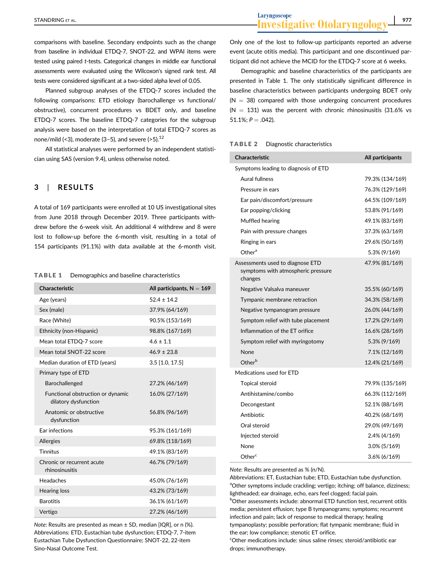comparisons with baseline. Secondary endpoints such as the change from baseline in individual ETDQ-7, SNOT-22, and WPAI items were tested using paired t-tests. Categorical changes in middle ear functional assessments were evaluated using the Wilcoxon's signed rank test. All tests were considered significant at a two-sided alpha level of 0.05.

Planned subgroup analyses of the ETDQ-7 scores included the following comparisons: ETD etiology (barochallenge vs functional/ obstructive), concurrent procedures vs BDET only, and baseline ETDQ-7 scores. The baseline ETDQ-7 categories for the subgroup analysis were based on the interpretation of total ETDQ-7 scores as none/mild (<3), moderate (3-5), and severe (>5). $^{12}$ 

All statistical analyses were performed by an independent statistician using SAS (version 9.4), unless otherwise noted.

### 3 | RESULTS

A total of 169 participants were enrolled at 10 US investigational sites from June 2018 through December 2019. Three participants withdrew before the 6-week visit. An additional 4 withdrew and 8 were lost to follow-up before the 6-month visit, resulting in a total of 154 participants (91.1%) with data available at the 6-month visit.

#### TABLE 1 Demographics and baseline characteristics

| Characteristic                                            | All participants, $N = 169$ |
|-----------------------------------------------------------|-----------------------------|
| Age (years)                                               | $52.4 \pm 14.2$             |
| Sex (male)                                                | 37.9% (64/169)              |
| Race (White)                                              | 90.5% (153/169)             |
| Ethnicity (non-Hispanic)                                  | 98.8% (167/169)             |
| Mean total ETDQ-7 score                                   | $4.6 \pm 1.1$               |
| Mean total SNOT-22 score                                  | $46.9 \pm 23.8$             |
| Median duration of ETD (years)                            | $3.5$ [1.0, 17.5]           |
| Primary type of ETD                                       |                             |
| Barochallenged                                            | 27.2% (46/169)              |
| Functional obstruction or dynamic<br>dilatory dysfunction | 16.0% (27/169)              |
| Anatomic or obstructive<br>dysfunction                    | 56.8% (96/169)              |
| Ear infections                                            | 95.3% (161/169)             |
| Allergies                                                 | 69.8% (118/169)             |
| <b>Tinnitus</b>                                           | 49.1% (83/169)              |
| Chronic or recurrent acute<br>rhinosinusitis              | 46.7% (79/169)              |
| Headaches                                                 | 45.0% (76/169)              |
| Hearing loss                                              | 43.2% (73/169)              |
| <b>Barotitis</b>                                          | 36.1% (61/169)              |
| Vertigo                                                   | 27.2% (46/169)              |

Note: Results are presented as mean ± SD, median [IQR], or n (%). Abbreviations: ETD, Eustachian tube dysfunction; ETDQ-7, 7-item Eustachian Tube Dysfunction Questionnaire; SNOT-22, 22-item Sino-Nasal Outcome Test.

Only one of the lost to follow-up participants reported an adverse event (acute otitis media). This participant and one discontinued participant did not achieve the MCID for the ETDQ-7 score at 6 weeks.

Demographic and baseline characteristics of the participants are presented in Table 1. The only statistically significant difference in baseline characteristics between participants undergoing BDET only  $(N = 38)$  compared with those undergoing concurrent procedures  $(N = 131)$  was the percent with chronic rhinosinusitis (31.6% vs  $51.1\%$ ;  $P = .042$ ).

#### TABLE 2 Diagnostic characteristics

| <b>Characteristic</b>                                                             | All participants |
|-----------------------------------------------------------------------------------|------------------|
| Symptoms leading to diagnosis of ETD                                              |                  |
| Aural fullness                                                                    | 79.3% (134/169)  |
| Pressure in ears                                                                  | 76.3% (129/169)  |
| Ear pain/discomfort/pressure                                                      | 64.5% (109/169)  |
| Ear popping/clicking                                                              | 53.8% (91/169)   |
| Muffled hearing                                                                   | 49.1% (83/169)   |
| Pain with pressure changes                                                        | 37.3% (63/169)   |
| Ringing in ears                                                                   | 29.6% (50/169)   |
| Other <sup>a</sup>                                                                | 5.3% (9/169)     |
| Assessments used to diagnose ETD<br>symptoms with atmospheric pressure<br>changes | 47.9% (81/169)   |
| Negative Valsalva maneuver                                                        | 35.5% (60/169)   |
| Tympanic membrane retraction                                                      | 34.3% (58/169)   |
| Negative tympanogram pressure                                                     | 26.0% (44/169)   |
| Symptom relief with tube placement                                                | 17.2% (29/169)   |
| Inflammation of the ET orifice                                                    | 16.6% (28/169)   |
| Symptom relief with myringotomy                                                   | 5.3% (9/169)     |
| None                                                                              | 7.1% (12/169)    |
| Other <sup>b</sup>                                                                | 12.4% (21/169)   |
| Medications used for ETD                                                          |                  |
| <b>Topical steroid</b>                                                            | 79.9% (135/169)  |
| Antihistamine/combo                                                               | 66.3% (112/169)  |
| Decongestant                                                                      | 52.1% (88/169)   |
| Antibiotic                                                                        | 40.2% (68/169)   |
| Oral steroid                                                                      | 29.0% (49/169)   |
| Injected steroid                                                                  | 2.4% (4/169)     |
| None                                                                              | 3.0% (5/169)     |
| Other <sup>c</sup>                                                                | $3.6\% (6/169)$  |

Note: Results are presented as % (n/N).

Abbreviations: ET, Eustachian tube; ETD, Eustachian tube dysfunction. <sup>a</sup>Other symptoms include crackling; vertigo; itching; off balance, dizziness; lightheaded; ear drainage, echo, ears feel clogged; facial pain.

b Other assessments include: abnormal ETD function test, recurrent otitis media; persistent effusion; type B tympanograms; symptoms; recurrent infection and pain; lack of response to medical therapy; healing tympanoplasty; possible perforation; flat tympanic membrane; fluid in the ear; low compliance; stenotic ET orifice.

c Other medications include: sinus saline rinses; steroid/antibiotic ear drops; immunotherapy.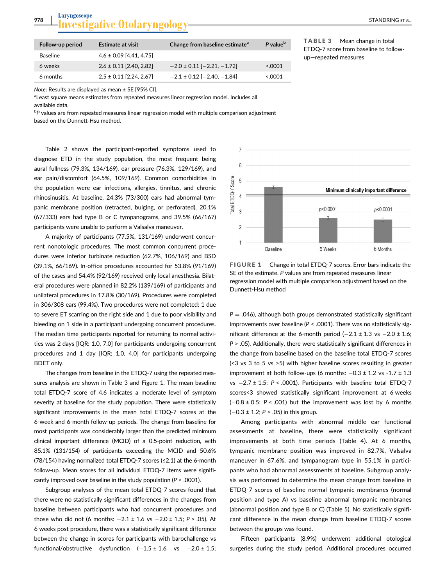| 978 | Lat | ANDRIN<br>Al |
|-----|-----|--------------|
|     |     |              |

| Follow-up period | <b>Estimate at visit</b>    | Change from baseline estimate <sup>a</sup> | P value <sup>b</sup> |
|------------------|-----------------------------|--------------------------------------------|----------------------|
| <b>Baseline</b>  | $4.6 \pm 0.09$ [4.41, 4.75] |                                            |                      |
| 6 weeks          | $2.6 \pm 0.11$ [2.40, 2.82] | $-2.0 \pm 0.11$ [ $-2.21$ , $-1.72$ ]      | 5.0001               |
| 6 months         | $2.5 \pm 0.11$ [2.24, 2.67] | $-2.1 \pm 0.12$ [ $-2.40$ , $-1.84$ ]      | 0.0001               |

TABLE 3 Mean change in total ETDQ-7 score from baseline to followup—repeated measures

Note: Results are displayed as mean ± SE [95% CI].

<sup>a</sup>Least square means estimates from repeated measures linear regression model. Includes all available data.

 $^{\rm b}$ P values are from repeated measures linear regression model with multiple comparison adjustment based on the Dunnett-Hsu method.

Table 2 shows the participant-reported symptoms used to diagnose ETD in the study population, the most frequent being aural fullness (79.3%, 134/169), ear pressure (76.3%, 129/169), and ear pain/discomfort (64.5%, 109/169). Common comorbidities in the population were ear infections, allergies, tinnitus, and chronic rhinosinusitis. At baseline, 24.3% (73/300) ears had abnormal tympanic membrane position (retracted, bulging, or perforated), 20.1% (67/333) ears had type B or C tympanograms, and 39.5% (66/167) participants were unable to perform a Valsalva maneuver.

A majority of participants (77.5%, 131/169) underwent concurrent nonotologic procedures. The most common concurrent procedures were inferior turbinate reduction (62.7%, 106/169) and BSD (39.1%, 66/169). In-office procedures accounted for 53.8% (91/169) of the cases and 54.4% (92/169) received only local anesthesia. Bilateral procedures were planned in 82.2% (139/169) of participants and unilateral procedures in 17.8% (30/169). Procedures were completed in 306/308 ears (99.4%). Two procedures were not completed: 1 due to severe ET scarring on the right side and 1 due to poor visibility and bleeding on 1 side in a participant undergoing concurrent procedures. The median time participants reported for returning to normal activities was 2 days [IQR: 1.0, 7.0] for participants undergoing concurrent procedures and 1 day [IQR; 1.0, 4.0] for participants undergoing BDET only.

The changes from baseline in the ETDQ-7 using the repeated measures analysis are shown in Table 3 and Figure 1. The mean baseline total ETDQ-7 score of 4.6 indicates a moderate level of symptom severity at baseline for the study population. There were statistically significant improvements in the mean total ETDQ-7 scores at the 6-week and 6-month follow-up periods. The change from baseline for most participants was considerably larger than the predicted minimum clinical important difference (MCID) of a 0.5-point reduction, with 85.1% (131/154) of participants exceeding the MCID and 50.6% (78/154) having normalized total ETDQ-7 scores (≤2.1) at the 6-month follow-up. Mean scores for all individual ETDQ-7 items were significantly improved over baseline in the study population ( $P < .0001$ ).

Subgroup analyses of the mean total ETDQ-7 scores found that there were no statistically significant differences in the changes from baseline between participants who had concurrent procedures and those who did not (6 months:  $-2.1 \pm 1.6$  vs  $-2.0 \pm 1.5$ ; P > .05). At 6 weeks post procedure, there was a statistically significant difference between the change in scores for participants with barochallenge vs functional/obstructive dysfunction  $(-1.5 \pm 1.6 \text{ vs } -2.0 \pm 1.5)$ ;



FIGURE 1 Change in total ETDQ-7 scores. Error bars indicate the SE of the estimate. P values are from repeated measures linear regression model with multiple comparison adjustment based on the Dunnett-Hsu method

 $P = .046$ ), although both groups demonstrated statistically significant improvements over baseline ( $P < .0001$ ). There was no statistically significant difference at the 6-month period  $(-2.1 \pm 1.3 \text{ vs } -2.0 \pm 1.6;$  $P > .05$ ). Additionally, there were statistically significant differences in the change from baseline based on the baseline total ETDQ-7 scores (<3 vs 3 to 5 vs >5) with higher baseline scores resulting in greater improvement at both follow-ups (6 months:  $-0.3 \pm 1.2$  vs -1.7  $\pm$  1.3 vs  $-2.7 \pm 1.5$ ; P < .0001). Participants with baseline total ETDQ-7 scores<3 showed statistically significant improvement at 6 weeks  $(-0.8 \pm 0.5; P < .001)$  but the improvement was lost by 6 months  $(-0.3 \pm 1.2; P > .05)$  in this group.

Among participants with abnormal middle ear functional assessments at baseline, there were statistically significant improvements at both time periods (Table 4). At 6 months, tympanic membrane position was improved in 82.7%, Valsalva maneuver in 67.6%, and tympanogram type in 55.1% in participants who had abnormal assessments at baseline. Subgroup analysis was performed to determine the mean change from baseline in ETDQ-7 scores of baseline normal tympanic membranes (normal position and type A) vs baseline abnormal tympanic membranes (abnormal position and type B or C) (Table 5). No statistically significant difference in the mean change from baseline ETDQ-7 scores between the groups was found.

Fifteen participants (8.9%) underwent additional otological surgeries during the study period. Additional procedures occurred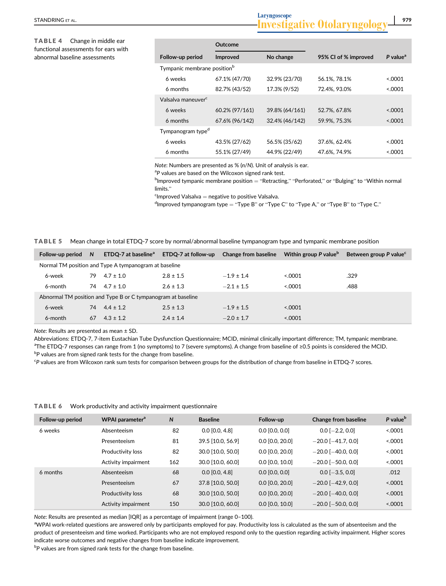TABLE 4 Change in middle ear functional assessments for ears with abnormal baseline assessments

|                                         | Outcome        |                |                      |                      |
|-----------------------------------------|----------------|----------------|----------------------|----------------------|
| Follow-up period                        | Improved       | No change      | 95% CI of % improved | P value <sup>a</sup> |
| Tympanic membrane position <sup>b</sup> |                |                |                      |                      |
| 6 weeks                                 | 67.1% (47/70)  | 32.9% (23/70)  | 56.1%, 78.1%         | < 0.0001             |
| 6 months                                | 82.7% (43/52)  | 17.3% (9/52)   | 72.4%, 93.0%         | 0.0001               |
| Valsalya maneuver <sup>c</sup>          |                |                |                      |                      |
| 6 weeks                                 | 60.2% (97/161) | 39.8% (64/161) | 52.7%, 67.8%         | &0.001               |
| 6 months                                | 67.6% (96/142) | 32.4% (46/142) | 59.9%, 75.3%         | < 0.0001             |
| Tympanogram type <sup>d</sup>           |                |                |                      |                      |
| 6 weeks                                 | 43.5% (27/62)  | 56.5% (35/62)  | 37.6%, 62.4%         | < 0.0001             |
| 6 months                                | 55.1% (27/49)  | 44.9% (22/49)  | 47.6%, 74.9%         | 0.0001               |

Note: Numbers are presented as % (n/N). Unit of analysis is ear.

<sup>a</sup>P values are based on the Wilcoxon signed rank test.

 $^{\rm b}$ Improved tympanic membrane position  $=$  "Retracting," "Perforated," or "Bulging" to "Within normal limits."

 $c$ Improved Valsalva  $=$  negative to positive Valsalva.

<sup>d</sup>Improved tympanogram type = "Type B" or "Type C" to "Type A," or "Type B" to "Type C."

TABLE 5 Mean change in total ETDQ-7 score by normal/abnormal baseline tympanogram type and tympanic membrane position

| Follow-up period                                             | <sub>N</sub>                                          | ETDQ-7 at baseline <sup>a</sup> | ETDQ-7 at follow-up | <b>Change from baseline</b> | Within group P value <sup>b</sup> | Between group P value <sup>c</sup> |
|--------------------------------------------------------------|-------------------------------------------------------|---------------------------------|---------------------|-----------------------------|-----------------------------------|------------------------------------|
|                                                              | Normal TM position and Type A tympanogram at baseline |                                 |                     |                             |                                   |                                    |
| 6-week                                                       | 79                                                    | $4.7 \pm 1.0$                   | $2.8 \pm 1.5$       | $-1.9 \pm 1.4$              | 0001                              | .329                               |
| 6-month                                                      | 74                                                    | $4.7 \pm 1.0$                   | $2.6 \pm 1.3$       | $-2.1 \pm 1.5$              | 0001                              | .488                               |
| Abnormal TM position and Type B or C tympanogram at baseline |                                                       |                                 |                     |                             |                                   |                                    |
| 6-week                                                       | 74                                                    | $4.4 \pm 1.2$                   | $2.5 \pm 1.3$       | $-1.9 \pm 1.5$              | < 0.0001                          |                                    |
| 6-month                                                      | 67                                                    | $4.3 \pm 1.2$                   | $2.4 \pm 1.4$       | $-2.0 \pm 1.7$              | 0001                              |                                    |

Note: Results are presented as mean ± SD.

Abbreviations: ETDQ-7, 7-item Eustachian Tube Dysfunction Questionnaire; MCID, minimal clinically important difference; TM, tympanic membrane. a The ETDQ-7 responses can range from 1 (no symptoms) to 7 (severe symptoms). A change from baseline of ≥0.5 points is considered the MCID. <sup>b</sup>P values are from signed rank tests for the change from baseline.

<sup>c</sup>P values are from Wilcoxon rank sum tests for comparison between groups for the distribution of change from baseline in ETDQ-7 scores.

| <b>TABLE 6</b> | Work productivity and activity impairment questionnaire |  |
|----------------|---------------------------------------------------------|--|
|                |                                                         |  |

| Follow-up period | WPAI parameter <sup>a</sup> | N   | <b>Baseline</b>   | Follow-up         | Change from baseline     | P value <sup>b</sup> |
|------------------|-----------------------------|-----|-------------------|-------------------|--------------------------|----------------------|
| 6 weeks          | Absenteeism                 | 82  | $0.0$ [0.0, 4.8]  | $0.0$ [0.0, 0.0]  | $0.0$ [ $-2.2$ , 0.0]    | < 0.0001             |
|                  | Presenteeism                | 81  | 39.5 [10.0, 56.9] | $0.0$ [0.0, 20.0] | $-20.0$ [ $-41.7, 0.0$ ] | < 0.0001             |
|                  | Productivity loss           | 82  | 30.0 [10.0, 50.0] | $0.0$ [0.0, 20.0] | $-20.0$ [ $-40.0$ , 0.0] | < 0.0001             |
|                  | Activity impairment         | 162 | 30.0 [10.0, 60.0] | $0.0$ [0.0, 10.0] | $-20.0$ [ $-50.0$ , 0.0] | < 0.0001             |
| 6 months         | Absenteeism                 | 68  | $0.0$ [0.0, 4.8]  | $0.0$ [0.0, 0.0]  | $0.0$ [ $-3.5$ , 0.0]    | .012                 |
|                  | Presenteeism                | 67  | 37.8 [10.0, 50.0] | $0.0$ [0.0, 20.0] | $-20.0$ [ $-42.9$ , 0.0] | < .0001              |
|                  | Productivity loss           | 68  | 30.0 [10.0, 50.0] | $0.0$ [0.0, 20.0] | $-20.0$ [ $-40.0$ , 0.0] | < 0.0001             |
|                  | Activity impairment         | 150 | 30.0 [10.0, 60.0] | $0.0$ [0.0, 10.0] | $-20.0$ [ $-50.0$ , 0.0] | < 0.0001             |

Note: Results are presented as median [IQR] as a percentage of impairment (range 0–100).

a WPAI work-related questions are answered only by participants employed for pay. Productivity loss is calculated as the sum of absenteeism and the product of presenteeism and time worked. Participants who are not employed respond only to the question regarding activity impairment. Higher scores indicate worse outcomes and negative changes from baseline indicate improvement.

<sup>b</sup>P values are from signed rank tests for the change from baseline.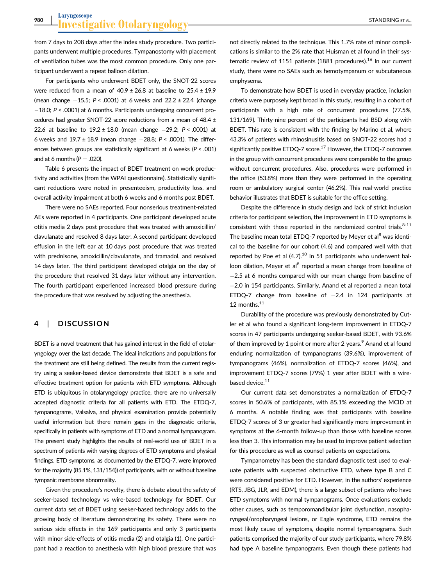from 7 days to 208 days after the index study procedure. Two participants underwent multiple procedures. Tympanostomy with placement of ventilation tubes was the most common procedure. Only one participant underwent a repeat balloon dilation.

For participants who underwent BDET only, the SNOT-22 scores were reduced from a mean of  $40.9 \pm 26.8$  at baseline to  $25.4 \pm 19.9$ (mean change  $-15.5$ ; P < .0001) at 6 weeks and 22.2 ± 22.4 (change  $-18.0$ ; P < .0001) at 6 months. Participants undergoing concurrent procedures had greater SNOT-22 score reductions from a mean of 48.4 ± 22.6 at baseline to  $19.2 \pm 18.0$  (mean change  $-29.2$ ; P < .0001) at 6 weeks and  $19.7 \pm 18.9$  (mean change  $-28.8$ ;  $P < .0001$ ). The differences between groups are statistically significant at 6 weeks (P < .001) and at 6 months ( $P = .020$ ).

Table 6 presents the impact of BDET treatment on work productivity and activities (from the WPAI questionnaire). Statistically significant reductions were noted in presenteeism, productivity loss, and overall activity impairment at both 6 weeks and 6 months post BDET.

There were no SAEs reported. Four nonserious treatment-related AEs were reported in 4 participants. One participant developed acute otitis media 2 days post procedure that was treated with amoxicillin/ clavulanate and resolved 8 days later. A second participant developed effusion in the left ear at 10 days post procedure that was treated with prednisone, amoxicillin/clavulanate, and tramadol, and resolved 14 days later. The third participant developed otalgia on the day of the procedure that resolved 31 days later without any intervention. The fourth participant experienced increased blood pressure during the procedure that was resolved by adjusting the anesthesia.

#### 4 | DISCUSSION

BDET is a novel treatment that has gained interest in the field of otolaryngology over the last decade. The ideal indications and populations for the treatment are still being defined. The results from the current registry using a seeker-based device demonstrate that BDET is a safe and effective treatment option for patients with ETD symptoms. Although ETD is ubiquitous in otolaryngology practice, there are no universally accepted diagnostic criteria for all patients with ETD. The ETDQ-7, tympanograms, Valsalva, and physical examination provide potentially useful information but there remain gaps in the diagnostic criteria, specifically in patients with symptoms of ETD and a normal tympanogram. The present study highlights the results of real-world use of BDET in a spectrum of patients with varying degrees of ETD symptoms and physical findings. ETD symptoms, as documented by the ETDQ-7, were improved for the majority (85.1%, 131/154)) of participants, with or without baseline tympanic membrane abnormality.

Given the procedure's novelty, there is debate about the safety of seeker-based technology vs wire-based technology for BDET. Our current data set of BDET using seeker-based technology adds to the growing body of literature demonstrating its safety. There were no serious side effects in the 169 participants and only 3 participants with minor side-effects of otitis media (2) and otalgia (1). One participant had a reaction to anesthesia with high blood pressure that was

not directly related to the technique. This 1.7% rate of minor complications is similar to the 2% rate that Huisman et al found in their systematic review of 1151 patients (1881 procedures).<sup>16</sup> In our current study, there were no SAEs such as hemotympanum or subcutaneous emphysema.

To demonstrate how BDET is used in everyday practice, inclusion criteria were purposely kept broad in this study, resulting in a cohort of participants with a high rate of concurrent procedures (77.5%, 131/169). Thirty-nine percent of the participants had BSD along with BDET. This rate is consistent with the finding by Marino et al, where 43.3% of patients with rhinosinusitis based on SNOT-22 scores had a significantly positive ETDQ-7 score.<sup>17</sup> However, the ETDQ-7 outcomes in the group with concurrent procedures were comparable to the group without concurrent procedures. Also, procedures were performed in the office (53.8%) more than they were performed in the operating room or ambulatory surgical center (46.2%). This real-world practice behavior illustrates that BDET is suitable for the office setting.

Despite the difference in study design and lack of strict inclusion criteria for participant selection, the improvement in ETD symptoms is consistent with those reported in the randomized control trials. $8-11$ The baseline mean total ETDQ-7 reported by Meyer et al<sup>8</sup> was identical to the baseline for our cohort (4.6) and compared well with that reported by Poe et al  $(4.7)$ .<sup>10</sup> In 51 participants who underwent balloon dilation, Meyer et al<sup>8</sup> reported a mean change from baseline of -2.5 at 6 months compared with our mean change from baseline of 2.0 in 154 participants. Similarly, Anand et al reported a mean total ETDQ-7 change from baseline of  $-2.4$  in 124 participants at 12 months.<sup>11</sup>

Durability of the procedure was previously demonstrated by Cutler et al who found a significant long-term improvement in ETDQ-7 scores in 47 participants undergoing seeker-based BDET, with 93.6% of them improved by 1 point or more after 2 years. $9$  Anand et al found enduring normalization of tympanograms (39.6%), improvement of tympanograms (46%), normalization of ETDQ-7 scores (46%), and improvement ETDQ-7 scores (79%) 1 year after BDET with a wirebased device.<sup>11</sup>

Our current data set demonstrates a normalization of ETDQ-7 scores in 50.6% of participants, with 85.1% exceeding the MCID at 6 months. A notable finding was that participants with baseline ETDQ-7 scores of 3 or greater had significantly more improvement in symptoms at the 6-month follow-up than those with baseline scores less than 3. This information may be used to improve patient selection for this procedure as well as counsel patients on expectations.

Tympanometry has been the standard diagnostic test used to evaluate patients with suspected obstructive ETD, where type B and C were considered positive for ETD. However, in the authors' experience (RTS, JBG, JLR, and EDM), there is a large subset of patients who have ETD symptoms with normal tympanograms. Once evaluations exclude other causes, such as temporomandibular joint dysfunction, nasopharyngeal/oropharyngeal lesions, or Eagle syndrome, ETD remains the most likely cause of symptoms, despite normal tympanograms. Such patients comprised the majority of our study participants, where 79.8% had type A baseline tympanograms. Even though these patients had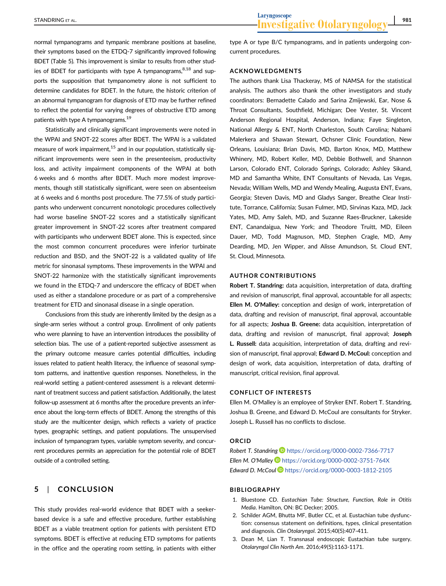normal tympanograms and tympanic membrane positions at baseline, their symptoms based on the ETDQ-7 significantly improved following BDET (Table 5). This improvement is similar to results from other studies of BDET for participants with type A tympanograms, $8,18$  and supports the supposition that tympanometry alone is not sufficient to determine candidates for BDET. In the future, the historic criterion of an abnormal tympanogram for diagnosis of ETD may be further refined to reflect the potential for varying degrees of obstructive ETD among patients with type A tympanograms.<sup>19</sup>

Statistically and clinically significant improvements were noted in the WPAI and SNOT-22 scores after BDET. The WPAI is a validated measure of work impairment. $15$  and in our population, statistically significant improvements were seen in the presenteeism, productivity loss, and activity impairment components of the WPAI at both 6 weeks and 6 months after BDET. Much more modest improvements, though still statistically significant, were seen on absenteeism at 6 weeks and 6 months post procedure. The 77.5% of study participants who underwent concurrent nonotologic procedures collectively had worse baseline SNOT-22 scores and a statistically significant greater improvement in SNOT-22 scores after treatment compared with participants who underwent BDET alone. This is expected, since the most common concurrent procedures were inferior turbinate reduction and BSD, and the SNOT-22 is a validated quality of life metric for sinonasal symptoms. These improvements in the WPAI and SNOT-22 harmonize with the statistically significant improvements we found in the ETDQ-7 and underscore the efficacy of BDET when used as either a standalone procedure or as part of a comprehensive treatment for ETD and sinonasal disease in a single operation.

Conclusions from this study are inherently limited by the design as a single-arm series without a control group. Enrollment of only patients who were planning to have an intervention introduces the possibility of selection bias. The use of a patient-reported subjective assessment as the primary outcome measure carries potential difficulties, including issues related to patient health literacy, the influence of seasonal symptom patterns, and inattentive question responses. Nonetheless, in the real-world setting a patient-centered assessment is a relevant determinant of treatment success and patient satisfaction. Additionally, the latest follow-up assessment at 6 months after the procedure prevents an inference about the long-term effects of BDET. Among the strengths of this study are the multicenter design, which reflects a variety of practice types, geographic settings, and patient populations. The unsupervised inclusion of tympanogram types, variable symptom severity, and concurrent procedures permits an appreciation for the potential role of BDET outside of a controlled setting.

# 5 | CONCLUSION

This study provides real-world evidence that BDET with a seekerbased device is a safe and effective procedure, further establishing BDET as a viable treatment option for patients with persistent ETD symptoms. BDET is effective at reducing ETD symptoms for patients in the office and the operating room setting, in patients with either

type A or type B/C tympanograms, and in patients undergoing concurrent procedures.

### ACKNOWLEDGMENTS

The authors thank Lisa Thackeray, MS of NAMSA for the statistical analysis. The authors also thank the other investigators and study coordinators: Bernadette Calado and Sarina Zmijewski, Ear, Nose & Throat Consultants, Southfield, Michigan; Dee Vester, St. Vincent Anderson Regional Hospital, Anderson, Indiana; Faye Singleton, National Allergy & ENT, North Charleston, South Carolina; Nabami Malerkera and Shawan Stewart, Ochsner Clinic Foundation, New Orleans, Louisiana; Brian Davis, MD, Barton Knox, MD, Matthew Whinery, MD, Robert Keller, MD, Debbie Bothwell, and Shannon Larson, Colorado ENT, Colorado Springs, Colorado; Ashley Sikand, MD and Samantha White, ENT Consultants of Nevada, Las Vegas, Nevada; William Wells, MD and Wendy Mealing, Augusta ENT, Evans, Georgia; Steven Davis, MD and Gladys Sanger, Breathe Clear Institute, Torrance, California; Susan Fulmer, MD, Sirvinas Kaza, MD, Jack Yates, MD, Amy Saleh, MD, and Suzanne Raes-Bruckner, Lakeside ENT, Canandaigua, New York; and Theodore Truitt, MD, Eileen Dauer, MD, Todd Magnuson, MD, Stephen Cragle, MD, Amy Dearding, MD, Jen Wipper, and Alisse Amundson, St. Cloud ENT, St. Cloud, Minnesota.

### AUTHOR CONTRIBUTIONS

Robert T. Standring: data acquisition, interpretation of data, drafting and revision of manuscript, final approval, accountable for all aspects; Ellen M. O'Malley: conception and design of work, interpretation of data, drafting and revision of manuscript, final approval, accountable for all aspects; Joshua B. Greene: data acquisition, interpretation of data, drafting and revision of manuscript, final approval; Joseph L. Russell: data acquisition, interpretation of data, drafting and revision of manuscript, final approval; Edward D. McCoul: conception and design of work, data acquisition, interpretation of data, drafting of manuscript, critical revision, final approval.

#### CONFLICT OF INTERESTS

Ellen M. O'Malley is an employee of Stryker ENT. Robert T. Standring, Joshua B. Greene, and Edward D. McCoul are consultants for Stryker. Joseph L. Russell has no conflicts to disclose.

#### **ORCID**

Robert T. Standring <https://orcid.org/0000-0002-7366-7717> Ellen M. O'Malley <https://orcid.org/0000-0002-3751-764X> Edward D. McCoul D <https://orcid.org/0000-0003-1812-2105>

#### BIBLIOGRAPHY

- 1. Bluestone CD. Eustachian Tube: Structure, Function, Role in Otitis Media. Hamilton, ON: BC Decker; 2005.
- 2. Schilder AGM, Bhutta MF, Butler CC, et al. Eustachian tube dysfunction: consensus statement on definitions, types, clinical presentation and diagnosis. Clin Otolaryngol. 2015;40(5):407-411.
- 3. Dean M, Lian T. Transnasal endoscopic Eustachian tube surgery. Otolaryngol Clin North Am. 2016;49(5):1163-1171.